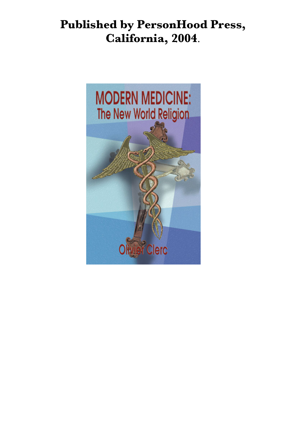# **Published by PersonHood Press, California, 2004**.

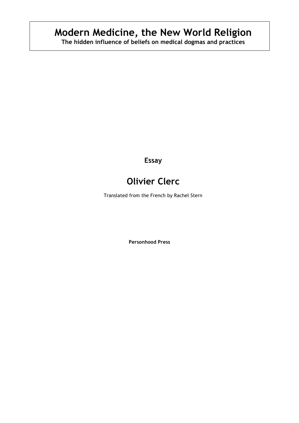# **Modern Medicine, the New World Religion**

**The hidden influence of beliefs on medical dogmas and practices**

**Essay**

## **Olivier Clerc**

Translated from the French by Rachel Stern

**Personhood Press**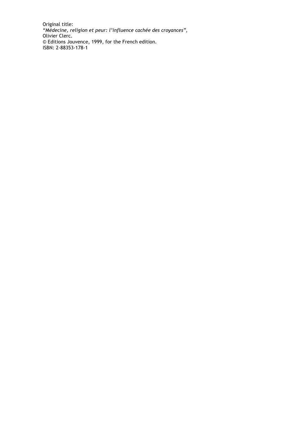Original title: *"Médecine, religion et peur: l'influence cachée des croyances"*, Olivier Clerc. © Editions Jouvence, 1999, for the French edition. ISBN: 2-88353-178-1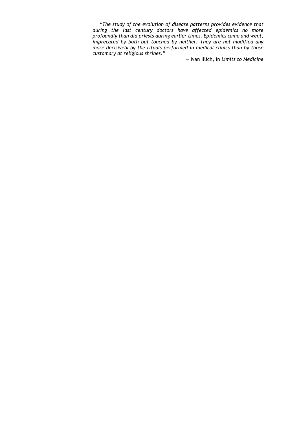*"The study of the evolution of disease patterns provides evidence that during the last century doctors have affected epidemics no more profoundly than did priests during earlier times. Epidemics came and went, imprecated by both but touched by neither. They are not modified any more decisively by the rituals performed in medical clinics than by those customary at religious shrines."* 

— Ivan Illich, in *Limits to Medicine*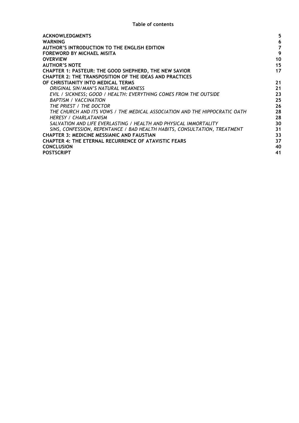| <b>ACKNOWLEDGMENTS</b>                                                     | 5  |
|----------------------------------------------------------------------------|----|
| <b>WARNING</b>                                                             | 6  |
| AUTHOR'S INTRODUCTION TO THE ENGLISH EDITION                               | 7  |
| <b>FOREWORD BY MICHAEL MISITA</b>                                          | 9  |
| <b>OVERVIEW</b>                                                            | 10 |
| <b>AUTHOR'S NOTE</b>                                                       | 15 |
| <b>CHAPTER 1: PASTEUR: THE GOOD SHEPHERD, THE NEW SAVIOR</b>               | 17 |
| <b>CHAPTER 2: THE TRANSPOSITION OF THE IDEAS AND PRACTICES</b>             |    |
| OF CHRISTIANITY INTO MEDICAL TERMS                                         | 21 |
| ORIGINAL SIN/MAN'S NATURAL WEAKNESS                                        | 21 |
| EVIL / SICKNESS; GOOD / HEALTH: EVERYTHING COMES FROM THE OUTSIDE          | 23 |
| <b>BAPTISM / VACCINATION</b>                                               | 25 |
| THE PRIEST / THE DOCTOR                                                    | 26 |
| THE CHURCH AND ITS VOWS / THE MEDICAL ASSOCIATION AND THE HIPPOCRATIC OATH | 28 |
| HERESY / CHARLATANISM                                                      | 28 |
| SALVATION AND LIFE EVERLASTING / HEALTH AND PHYSICAL IMMORTALITY           | 30 |
| SINS, CONFESSION, REPENTANCE / BAD HEALTH HABITS, CONSULTATION, TREATMENT  | 31 |
| <b>CHAPTER 3: MEDICINE MESSIANIC AND FAUSTIAN</b>                          | 33 |
| <b>CHAPTER 4: THE ETERNAL RECURRENCE OF ATAVISTIC FEARS</b>                | 37 |
| <b>CONCLUSION</b>                                                          | 40 |
| <b>POSTSCRIPT</b>                                                          | 41 |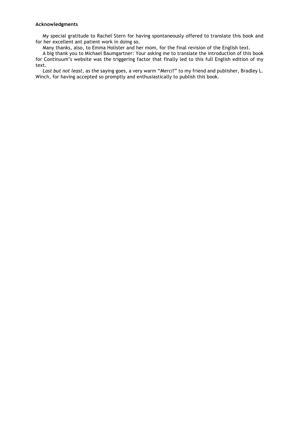#### **Acknowledgments**

My special gratitude to Rachel Stern for having spontaneously offered to translate this book and for her excellent ant patient work in doing so.

Many thanks, also, to Emma Holister and her mom, for the final revision of the English text.

A big thank you to Michael Baumgartner: Your asking me to translate the introduction of this book for Continuum's website was the triggering factor that finally led to this full English edition of my text.

*Last but not least*, as the saying goes, a very warm "*Merci!*" to my friend and publisher, Bradley L. Winch, for having accepted so promptly and enthusiastically to publish this book.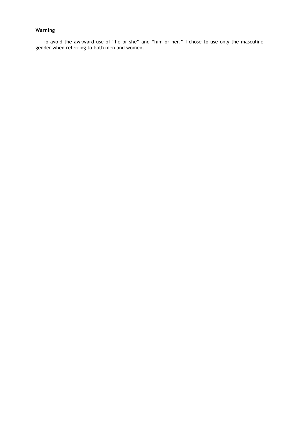### **Warning**

To avoid the awkward use of "he or she" and "him or her," I chose to use only the masculine gender when referring to both men and women.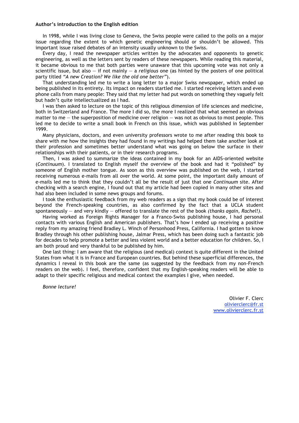#### **Author's introduction to the English edition**

In 1998, while I was living close to Geneva, the Swiss people were called to the polls on a major issue regarding the extent to which genetic engineering should or shouldn't be allowed. This important issue raised debates of an intensity usually unknown to the Swiss.

Every day, I read the newspaper articles written by the advocates and opponents to genetic engineering, as well as the letters sent by readers of these newspapers. While reading this material, it became obvious to me that both parties were unaware that this upcoming vote was not only a scientific issue, but also — if not mainly — a *religious* one (as hinted by the posters of one political party titled *"A new Creation? We like the old one better"*).

That understanding led me to write a long letter to a major Swiss newspaper, which ended up being published in its entirety. Its impact on readers startled me. I started receiving letters and even phone calls from many people: They said that my letter had put words on something they vaguely felt but hadn't quite intellectualized as I had.

I was then asked to lecture on the topic of this religious dimension of life sciences and medicine, both in Switzerland and France. The more I did so, the more I realized that what seemed an obvious matter to me — the superposition of medicine over religion — was not as obvious to most people. This led me to decide to write a small book in French on this issue, which was published in September 1999.

Many physicians, doctors, and even university professors wrote to me after reading this book to share with me how the insights they had found in my writings had helped them take another look at their profession and sometimes better understand what was going on below the surface in their relationships with their patients, or in their research programs.

Then, I was asked to summarize the ideas contained in my book for an AIDS-oriented website (*Continuum*). I translated to English myself the overview of the book and had it "polished" by someone of English mother tongue. As soon as this overview was published on the web, I started receiving numerous e-mails from all over the world. At some point, the important daily amount of e-mails led me to think that they couldn't all be the result of just that one *Continuum* site. After checking with a search engine, I found out that my article had been copied in many other sites and had also been included in some news groups and forums.

I took the enthusiastic feedback from my web readers as a sign that my book could be of interest beyond the French-speaking countries, as also confirmed by the fact that a UCLA student spontaneously — and very kindly — offered to translate the rest of the book *(thanks again, Rachel!)*.

Having worked as Foreign Rights Manager for a Franco-Swiss publishing house, I had personal contacts with various English and American publishers. That's how I ended up receiving a positive reply from my amazing friend Bradley L. Winch of Personhood Press, California. I had gotten to know Bradley through his other publishing house, Jalmar Press, which has been doing such a fantastic job for decades to help promote a better and less violent world and a better education for children. So, I am both proud and very thankful to be published by him.

One last thing: I am aware that the religious (and medical) context is quite different in the United States from what it is in France and European countries. But behind these superficial differences, the dynamics I reveal in this book are the same (as suggested by the feedback from my non-French readers on the web). I feel, therefore, confident that my English-speaking readers will be able to adapt to their specific religious and medical context the examples I give, when needed.

*Bonne lecture!*

Olivier F. Clerc olivierclerc@fr.st www.olivierclerc.fr.st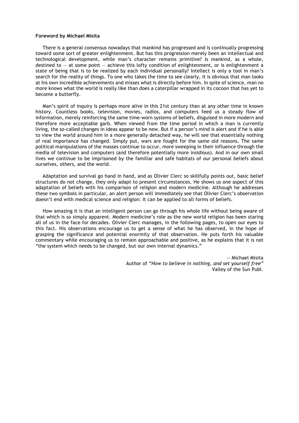#### **Foreword by Michael Misita**

There is a general consensus nowadays that mankind has progressed and is continually progressing toward some sort of greater enlightenment. But has this progression merely been an intellectual and technological development, while man's character remains primitive? Is mankind, as a whole, destined to  $-$  at some point  $-$  achieve this lofty condition of enlightenment, or is enlightenment a state of being that is to be realized by each individual personally? Intellect is only a tool in man's search for the reality of things. To one who takes the time to see clearly, it is obvious that man looks at his own incredible achievements and misses what is directly before him. In spite of science, man no more knows what the world is really like than does a caterpillar wrapped in its cocoon that has yet to become a butterfly.

Man's spirit of inquiry is perhaps more alive in this 21st century than at any other time in known history. Countless books, television, movies, radios, and computers feed us a steady flow of information, merely reinforcing the same time-worn systems of beliefs, disguised in more modern and therefore more acceptable garb. When viewed from the time period in which a man is currently living, the so-called changes in ideas appear to be new. But if a person's mind is alert and if he is able to view the world around him in a more generally detached way, he will see that essentially nothing of real importance has changed. Simply put, wars are fought for the same old reasons. The same political manipulations of the masses continue to occur, more sweeping in their influence through the media of television and computers (and therefore potentially more insidious). And in our own small lives we continue to be imprisoned by the familiar and safe habitats of our personal beliefs about ourselves, others, and the world.

Adaptation and survival go hand in hand, and as Olivier Clerc so skillfully points out, basic belief structures do not change, they only adapt to present circumstances. He shows us one aspect of this adaptation of beliefs with his comparison of religion and modern medicine. Although he addresses these two symbols in particular, an alert person will immediately see that Olivier Clerc's observation doesn't end with medical science and religion: It can be applied to all forms of beliefs.

How amazing it is that an intelligent person can go through his whole life without being aware of that which is so simply apparent. Modern medicine's role as the new world religion has been staring all of us in the face for decades. Olivier Clerc manages, in the following pages, to open our eyes to this fact. His observations encourage us to get a sense of what he has observed, in the hope of grasping the significance and potential enormity of that observation. He puts forth his valuable commentary while encouraging us to remain approachable and positive, as he explains that it is not "the system which needs to be changed, but our own internal dynamics."

> — Michael Misita Author of *"How to believe in nothing, and set yourself free"* Valley of the Sun Publ.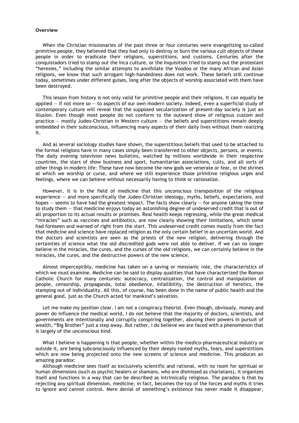#### **Overview**

When the Christian missionaries of the past three or four centuries were evangelizing so-called primitive people, they believed that they had only to destroy or burn the various cult objects of these people in order to eradicate their religions, superstitions, and customs. Centuries after the conquistadors tried to stamp out the Inca culture, or the Inquisition tried to stamp out the protestant "heresies," including the similar attempts to annihilate the Voodoo or the many African and Asian religions, we know that such arrogant high-handedness does not work. These beliefs still continue today, sometimes under different guises, long after the objects of worship associated with them have been destroyed.

This lesson from history is not only valid for primitive people and their religions. It can equally be applied — if not more so — to aspects of our own modern society. Indeed, even a superficial study of contemporary culture will reveal that the supposed secularization of present-day society is just an illusion. Even though most people do not conform to the outward show of religious custom and practice — mostly Judeo-Christian in Western culture — the beliefs and superstitions remain deeply embedded in their subconscious, influencing many aspects of their daily lives without them realizing it.

And as several sociology studies have shown, the superstitious beliefs that used to be attached to the formal religions have in many cases simply been transferred to other objects, persons, or events. The daily evening television news bulletins, watched by millions worldwide in their respective countries, the stars of show business and sport, humanitarian associations, cults, and all sorts of other things in modern life: These have now become the new gods we venerate or fear, or the shrines at which we worship or curse, and where we still experience those primitive religious urges and feelings, where we can believe without necessarily having to think or rationalize.

However, it is in the field of medicine that this unconscious transposition of the religious experience  $-$  and more specifically the Judeo-Christian ideology, myths, beliefs, expectations, and hopes  $-$  seems to have had the greatest impact. The facts show clearly  $-$  for anyone taking the time to study them — that medicine enjoys today an astonishing degree of undeserved credit that is out of all proportion to its actual results or promises. Real health keeps regressing, while the great medical "miracles" such as vaccines and antibiotics, are now clearly showing their limitations, which some had foreseen and warned of right from the start. This undeserved credit comes mostly from the fact that medicine and science have replaced religion as the only certain belief in an uncertain world. And the doctors and scientists are seen as the priests of the new religion, delivering through the certainties of science what the old discredited gods were not able to deliver. If we can no longer believe in the miracles, the cures, and the curses of the old religions, we can certainly believe in the miracles, the cures, and the destructive powers of the new science.

Almost imperceptibly, medicine has taken on a saving or messianic role, the characteristics of which we must examine. Medicine can be said to display qualities that have characterized the Roman Catholic Church for many centuries: autocracy, centralization, the control and manipulation of people, censorship, propaganda, total obedience, infallibility, the destruction of heretics, the stamping out of individuality. All this, of course, has been done in the name of public health and the general good, just as the Church acted for mankind's salvation.

Let me make my position clear. I am not a conspiracy theorist. Even though, obviously, money and power do influence the medical world, I do not believe that the majority of doctors, scientists, and governments are intentionally and corruptly conspiring together, abusing their powers in pursuit of wealth, "Big Brother" just a step away. But rather, I do believe we are faced with a phenomenon that is largely of the unconscious kind.

What I believe is happening is that people, whether within the medico-pharmaceutical industry or outside it, are being subconsciously influenced by their deeply rooted myths, fears, and superstitions which are now being projected onto the new screens of science and medicine. This produces an amazing paradox:

Although medicine sees itself as exclusively scientific and rational, with no room for spiritual or human dimensions (such as psychic healers or shamans, who are dismissed as charlatans), it organizes itself and functions in a way that can be described as intrinsically religious. The paradox is that by rejecting any spiritual dimension, medicine, in fact, becomes the toy of the forces and myths it tries to ignore and cannot control. Mere denial of something's existence has never made it disappear,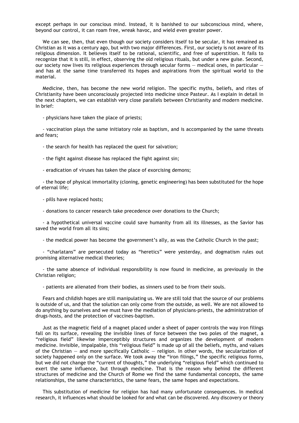except perhaps in our conscious mind. Instead, it is banished to our subconscious mind, where, beyond our control, it can roam free, wreak havoc, and wield even greater power.

We can see, then, that even though our society considers itself to be secular, it has remained as Christian as it was a century ago, but with two major differences. First, our society is not aware of its religious dimension. It believes itself to be rational, scientific, and free of superstition. It fails to recognize that it is still, in effect, observing the old religious rituals, but under a new guise. Second, our society now lives its religious experiences through secular forms — medical ones, in particular and has at the same time transferred its hopes and aspirations from the spiritual world to the material.

Medicine, then, has become the new world religion. The specific myths, beliefs, and rites of Christianity have been unconsciously projected into medicine since Pasteur. As I explain in detail in the next chapters, we can establish very close parallels between Christianity and modern medicine. In brief:

- physicians have taken the place of priests;

- vaccination plays the same initiatory role as baptism, and is accompanied by the same threats and fears;

- the search for health has replaced the quest for salvation;

- the fight against disease has replaced the fight against sin;

- eradication of viruses has taken the place of exorcising demons;

- the hope of physical immortality (cloning, genetic engineering) has been substituted for the hope of eternal life;

- pills have replaced hosts;

- donations to cancer research take precedence over donations to the Church;

- a hypothetical universal vaccine could save humanity from all its illnesses, as the Savior has saved the world from all its sins;

- the medical power has become the government's ally, as was the Catholic Church in the past;

- "charlatans" are persecuted today as "heretics" were yesterday, and dogmatism rules out promising alternative medical theories;

- the same absence of individual responsibility is now found in medicine, as previously in the Christian religion;

- patients are alienated from their bodies, as sinners used to be from their souls.

Fears and childish hopes are still manipulating us. We are still told that the source of our problems is outside of us, and that the solution can only come from the outside, as well. We are not allowed to do anything by ourselves and we must have the mediation of physicians-priests, the administration of drugs-hosts, and the protection of vaccines-baptism.

Just as the magnetic field of a magnet placed under a sheet of paper controls the way iron filings fall on its surface, revealing the invisible lines of force between the two poles of the magnet, a "religious field" likewise imperceptibly structures and organizes the development of modern medicine. Invisible, impalpable, this "religious field" is made up of all the beliefs, myths, and values of the Christian — and more specifically Catholic — religion. In other words, the secularization of society happened only on the surface. We took away the "iron filings," the specific religious forms, but we did not change the "current of thoughts," the underlying "religious field" which continued to exert the same influence, but through medicine. That is the reason why behind the different structures of medicine and the Church of Rome we find the same fundamental concepts, the same relationships, the same characteristics, the same fears, the same hopes and expectations.

This substitution of medicine for religion has had many unfortunate consequences. In medical research, it influences what should be looked for and what can be discovered. Any discovery or theory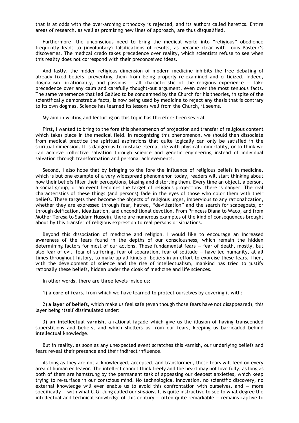that is at odds with the over-arching orthodoxy is rejected, and its authors called heretics. Entire areas of research, as well as promising new lines of approach, are thus disqualified.

Furthermore, the unconscious need to bring the medical world into "religious" obedience frequently leads to (involuntary) falsifications of results, as became clear with Louis Pasteur's discoveries. The medical credo takes precedence over reality, which scientists refuse to see when this reality does not correspond with their preconceived ideas.

And lastly, the hidden religious dimension of modern medicine inhibits the free debating of already fixed beliefs, preventing them from being properly re-examined and criticized. Indeed, dogmatism, irrationality, and passions  $-$  all characteristic of the religious experience  $-$  take precedence over any calm and carefully thought-out argument, even over the most tenuous facts. The same vehemence that led Galileo to be condemned by the Church for his theories, in spite of the scientifically demonstrable facts, is now being used by medicine to reject any thesis that is contrary to its own dogmas. Science has learned its lessons well from the Church, it seems.

My aim in writing and lecturing on this topic has therefore been several:

First, I wanted to bring to the fore this phenomenon of projection and transfer of religious content which takes place in the medical field. In recognizing this phenomenon, we should then dissociate from medical practice the spiritual aspirations that quite logically can only be satisfied in the spiritual dimension. It is dangerous to mistake eternal life with physical immortality, or to think we can achieve collective salvation through science and genetic engineering instead of individual salvation through transformation and personal achievements.

Second, I also hope that by bringing to the fore the influence of religious beliefs in medicine, which is but one example of a very widespread phenomenon today, readers will start thinking about how their beliefs filter their perceptions, biasing and distorting them. Every time an object, a person, a social group, or an event becomes the target of religious projections, there is danger. The real characteristics of these things (and persons) fade in the eyes of those who color them with their beliefs. These targets then become the objects of religious urges, impervious to any rationalization, whether they are expressed through fear, hatred, "devilization" and the search for scapegoats, or through deification, idealization, and unconditional devotion. From Princess Diana to Waco, and from Mother Teresa to Saddam Hussein, there are numerous examples of the kind of consequences brought about by this transfer of religious expression to real persons or situations.

Beyond this dissociation of medicine and religion, I would like to encourage an increased awareness of the fears found in the depths of our consciousness, which remain the hidden determining factors for most of our actions. These fundamental fears — fear of death, mostly, but also fear of evil, fear of suffering, fear of separation, fear of solitude — have led humanity, at all times throughout history, to make up all kinds of beliefs in an effort to exorcise these fears. Then, with the development of science and the rise of intellectualism, mankind has tried to justify rationally these beliefs, hidden under the cloak of medicine and life sciences.

In other words, there are three levels inside us:

1) **a core of fears**, from which we have learned to protect ourselves by covering it with:

2) **a layer of beliefs**, which make us feel safe (even though those fears have not disappeared), this layer being itself dissimulated under:

3) **an intellectual varnish**, a rational façade which give us the illusion of having transcended superstitions and beliefs, and which shelters us from our fears, keeping us barricaded behind intellectual knowledge.

But in reality, as soon as any unexpected event scratches this varnish, our underlying beliefs and fears reveal their presence and their indirect influence.

As long as they are not acknowledged, accepted, and transformed, these fears will feed on every area of human endeavor. The intellect cannot think freely and the heart may not love fully, as long as both of them are hamstrung by the permanent task of appeasing our deepest anxieties, which keep trying to re-surface in our conscious mind. No technological innovation, no scientific discovery, no external knowledge will ever enable us to avoid this confrontation with ourselves, and  $-$  more specifically — with what C.G. Jung called our *shadow*. It is quite instructive to see to what degree the intellectual and technical knowledge of this century  $-$  often quite remarkable  $-$  remains captive to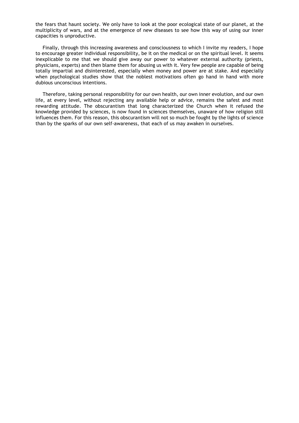the fears that haunt society. We only have to look at the poor ecological state of our planet, at the multiplicity of wars, and at the emergence of new diseases to see how this way of using our inner capacities is unproductive.

Finally, through this increasing awareness and consciousness to which I invite my readers, I hope to encourage greater individual responsibility, be it on the medical or on the spiritual level. It seems inexplicable to me that we should give away our power to whatever external authority (priests, physicians, experts) and then blame them for abusing us with it. Very few people are capable of being totally impartial and disinterested, especially when money and power are at stake. And especially when psychological studies show that the noblest motivations often go hand in hand with more dubious unconscious intentions.

Therefore, taking personal responsibility for our own health, our own inner evolution, and our own life, at every level, without rejecting any available help or advice, remains the safest and most rewarding attitude. The obscurantism that long characterized the Church when it refused the knowledge provided by sciences, is now found in sciences themselves, unaware of how religion still influences them. For this reason, this obscurantism will not so much be fought by the lights of science than by the sparks of our own self-awareness, that each of us may awaken in ourselves.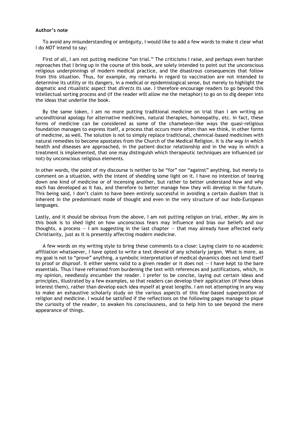#### **Author's note**

To avoid any misunderstanding or ambiguity, I would like to add a few words to make it clear what I do *NOT* intend to say:

First of all, I am not putting medicine "on trial." The criticisms I raise, and perhaps even harsher reproaches that I bring up in the course of this book, are solely intended to point out the unconscious religious underpinnings of modern medical practice, and the disastrous consequences that follow from this situation. Thus, for example, my remarks in regard to vaccination are not intended to determine its utility or its dangers, in a medical or epidemiological sense, but merely to highlight the dogmatic and ritualistic aspect that *directs* its use. I therefore encourage readers to go beyond this intellectual sorting process and (if the reader will allow me the metaphor) to go on to dig deeper into the ideas that underlie the book.

By the same token, I am no more putting traditional medicine on trial than I am writing an unconditional apology for alternative medicines, natural therapies, homeopathy, etc. In fact, these forms of medicine can be considered as some of the chameleon-like ways the quasi-religious foundation manages to express itself, a process that occurs more often than we think, in other forms of medicine, as well. The solution is not to simply replace traditional, chemical-based medicines with natural remedies to become apostates from the Church of the Medical Religion. It is *the way in which*  health and diseases are approached, in the patient–doctor relationship and in the way in which a treatment is implemented, that one may distinguish which therapeutic techniques are influenced (or not) by unconscious religious elements.

In other words, the point of my discourse is neither to be "for" nor "against" anything, but merely to comment on a situation, with the intent of shedding some light on it. I have no intention of tearing down one kind of medicine or of incensing another, but rather to better understand how and why each has developed as it has, and therefore to better manage how they will develop in the future. This being said, I don't claim to have been entirely successful in avoiding a certain dualism that is inherent in the predominant mode of thought and even in the very structure of our Indo-European languages.

Lastly, and it should be obvious from the above, I am not putting religion on trial, either. My aim in this book is to shed light on how unconscious fears may influence and bias our beliefs and our thoughts, a process  $-1$  am suggesting in the last chapter  $-$  that may already have affected early Christianity, just as it is presently affecting modern medicine.

A few words on my writing style to bring these comments to a close: Laying claim to no academic affiliation whatsoever, I have opted to write a text devoid of any scholarly jargon. What is more, as my goal is not to "prove" anything, a symbolic interpretation of medical dynamics does not lend itself to proof or disproof. It either seems valid to a given reader or it does not — I have kept to the bare essentials. Thus I have refrained from burdening the text with references and justifications, which, in my opinion, needlessly encumber the reader. I prefer to be concise, laying out certain ideas and principles, illustrated by a few examples, so that readers can develop their application (if these ideas interest them), rather than develop each idea myself at great lengths. I am not attempting in any way to make an exhaustive scholarly study on the various aspects of this fear-based superposition of religion and medicine. I would be satisfied if the reflections on the following pages manage to pique the curiosity of the reader, to awaken his consciousness, and to help him to see beyond the mere appearance of things.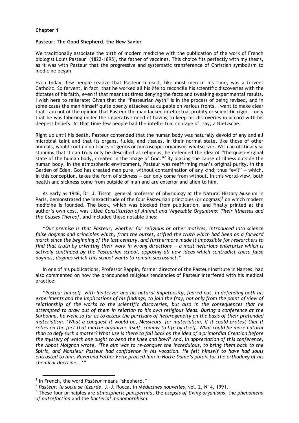#### **Chapter 1**

#### **Pasteur: The Good Shepherd, the New Savior**

We traditionally associate the birth of modern medicine with the publication of the work of French biologist Louis Pasteur<sup>1</sup> (1822-1895), the father of vaccines. This choice fits perfectly with my thesis, as it was with Pasteur that the progressive and systematic transference of Christian symbolism to medicine began.

Even today, few people realize that Pasteur himself, like most men of his time, was a fervent Catholic. So fervent, in fact, that he worked all his life to reconcile his scientific discoveries with the dictates of his faith, even if that meant at times denying the facts and tweaking experimental results. I wish here to reiterate: Given that the "Pasteurian Myth" is in the process of being revised, and in some cases the man himself quite openly attacked as culpable on various fronts, I want to make clear that I am not of the opinion that Pasteur the man lacked intellectual probity or scientific rigor — only that he was laboring under the imperative need of having to keep his discoveries in accord with his deepest beliefs. At that time few people had the intellectual courage of, say, a Nietzsche.

Right up until his death, Pasteur contended that the human body was naturally devoid of any and all microbial taint and that its organs, fluids, and tissues, in their normal state, like those of other animals, would contain no traces of germs or microscopic organisms whatsoever. With an obstinacy so stunning that it can truly only be described as religious, he defended the idea of "the quasi-virginal state of the human body, created in the image of God."<sup>2</sup> By placing the cause of illness outside the human body, in the atmospheric environment, Pasteur was reaffirming man's original purity, in the Garden of Eden. God has created man pure, without contamination of any kind; thus "evil" — which, in this conception, takes the form of sickness — can only come from without. In this world-view, both health and sickness come from outside of man and are exterior and alien to him.

As early as 1946, Dr. J. Tissot, general professor of physiology at the Natural History Museum in Paris, demonstrated the inexactitude of the four Pasteurian principles (or dogmas)<sup>3</sup> on which modern medicine is founded. The book, which was blocked from publication, and finally printed at the author's own cost, was titled *Constitution of Animal and Vegetable Organisms: Their Illnesses and the Causes Thereof*, and included these notable lines:

*"Our premise is that Pasteur, whether for religious or other motives, introduced into science false dogmas and principles which, from the outset, stifled the truth which had been on a forward march since the beginning of the last century, and furthermore made it impossible for researchers to find that truth by orienting their work in wrong directions – a most nefarious enterprise which is actively continued by the Pasteurian school, opposing all new ideas which contradict these false dogmas, dogmas which this school wants to remain sacrosanct."*

In one of his publications, Professor Rappin, former director of the Pasteur Institute in Nantes, had also commented on how the pronounced religious tendencies of Pasteur interfered with his medical practice:

*"Pasteur himself, with his fervor and his natural impetuosity, feared not, in defending both his experiments and the implications of his findings, to join the fray, not only from the point of view of relationship of the works to the scientific discoveries, but also in the consequences that he attempted to draw out of them in relation to his own religious ideas. During a conference at the Sorbonne, he went so far as to attack the partisans of heterogeneity on the basis of their pretended materialism. 'What a conquest it would be, Messieurs, for materialism, if it could protest that it relies on the fact that matter organizes itself, coming to life by itself. What could be more natural than to defy such a matter? What use is there to fall back on the idea of a primordial Creation before the mystery of which one ought to bend the knee and bow?' And, in appreciation of this conference, the Abbot Moignon wrote, 'The aim was to re-conquer the incredulous, to bring them back to the Spirit, and Monsieur Pasteur had confidence in his vocation. He felt himself to have had souls entrusted to him. Reverend Father Felix praised him in Notre-Dame's pulpit for the orthodoxy of his chemical doctrine… '"*

 <sup>1</sup> In French, the word *Pasteur* means "shepherd."

<sup>2</sup> *Pasteur: le socle se lézarde*, J.-J. Rocca, in *Médecines nouvelles*, vol. 2, N°4, 1991.

<sup>3</sup> These four principles are *atmospheric panspermia,* the *asepsis of living organisms*, the *phenomena of putrefaction* and the *bacterial monomorphism.*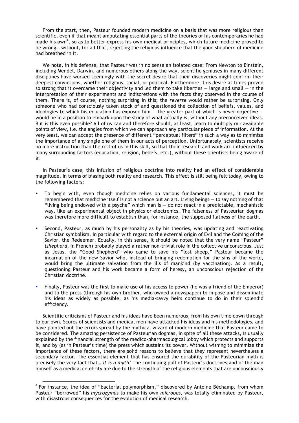From the start, then, Pasteur founded modern medicine on a basis that was more religious than scientific, even if that meant amputating essential parts of the theories of his contemporaries he had made his own<sup>4</sup>, so as to better express his own medical principles, which future medicine proved to be wrong… without, for all that, rejecting the religious influence that the good shepherd of medicine had breathed in it.

We note, in his defense, that Pasteur was in no sense an isolated case: From Newton to Einstein, including Mendel, Darwin, and numerous others along the way, scientific geniuses in many different disciplines have worked seemingly with the secret desire that their discoveries might confirm their deepest convictions, whether religious, social, or political. Furthermore, this desire at times proved so strong that it overcame their objectivity and led them to take liberties  $-$  large and small  $-$  in the interpretation of their experiments and indiscretions with the facts they observed in the course of them. There is, of course, nothing surprising in this; the *reverse* would rather be surprising. Only someone who had consciously taken stock of and questioned the collection of beliefs, values, and ideologies to which his education has exposed him  $-$  the greater part of which is never objective  $$ would be in a position to embark upon the study of what actually *is*, without any preconceived ideas. But is this even possible? All of us can and therefore should, at least, learn to multiply our available points of view, i.e. the angles from which we can approach any particular piece of information. At the very least, we can accept the presence of different "perceptual filters" in such a way as to minimize the importance of any single one of them in our acts of perception. Unfortunately, scientists receive no more instruction than the rest of us in this skill, so that their research and work are influenced by many surrounding factors (education, religion, beliefs, etc.), without these scientists being aware of it.

In Pasteur's case, this infusion of religious doctrine into reality had an effect of considerable magnitude, in terms of biasing both reality and research. This effect is still being felt today, owing to the following factors:

- To begin with, even though medicine relies on various fundamental sciences, it must be remembered that medicine itself is not a science but an art. Living beings — to say nothing of that "living being endowed with a psyche" which man is  $-$  do not react in a predictable, mechanistic way, like an experimental object in physics or electronics. The falseness of Pasteurian dogmas was therefore more difficult to establish than, for instance, the supposed flatness of the earth.
- Second, Pasteur, as much by his personality as by his theories, was updating and reactivating Christian symbolism, in particular with regard to the external origin of Evil and the Coming of the Savior, the Redeemer. Equally, in this sense, it should be noted that the very name "Pasteur" (*shepherd*, in French) probably played a rather non-trivial role in the collective unconscious. Just as Jesus, the "Good Shepherd" who came to save his "lost sheep," Pasteur became the incarnation of the new Savior who, instead of bringing redemption for the sins of the world, would bring the ultimate salvation from the ills of mankind (by vaccination). As a result, questioning Pasteur and his work became a form of heresy, an unconscious rejection of the Christian doctrine.
- Finally, Pasteur was the first to make use of his access to power (he was a friend of the Emperor) and to the press (through his own brother, who owned a newspaper) to impose and disseminate his ideas as widely as possible, as his media-savvy heirs continue to do in their splendid efficiency.

Scientific criticisms of Pasteur and his ideas have been numerous, from his own time down through to our own. Scores of scientists and medical men have attacked his ideas and his methodologies, and have pointed out the errors spread by the mythical wizard of modern medicine that Pasteur came to be considered. The amazing persistence of Pasteurian dogmas, in spite of all these attacks, is usually explained by the financial strength of the medico-pharmacological lobby which protects and supports it, and by (as in Pasteur's time) the press which sustains its power. Without wishing to minimize the importance of these factors, there are solid reasons to believe that they represent nevertheless a secondary factor. The essential element that has ensured the durability of the Pasteurian myth is precisely the very fact that… *it is a myth!* The continuing pull of Pasteur's doctrines and of the man himself as a medical celebrity are due to the strength of the religious elements that are unconsciously

**EXECUTE:**<br>A For instance, the idea of "bacterial polymorphism," discovered by Antoine Béchamp, from whom Pasteur "borrowed" his *mycrozymas* to make his own *microbes*, was totally eliminated by Pasteur, with disastrous consequences for the evolution of medical research.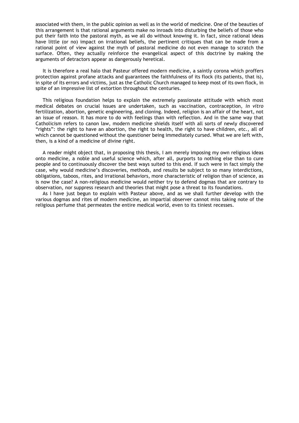associated with them, in the public opinion as well as in the world of medicine. One of the beauties of this arrangement is that rational arguments make no inroads into disturbing the beliefs of those who put their faith into the pastoral myth, as we all do without knowing it. In fact, since rational ideas have little (or no) impact on irrational beliefs, the pertinent critiques that can be made from a rational point of view against the myth of pastoral medicine do not even manage to scratch the surface. Often, they actually reinforce the evangelical aspect of this doctrine by making the arguments of detractors appear as dangerously heretical.

It is therefore a real halo that Pasteur offered modern medicine, a saintly corona which proffers protection against profane attacks and guarantees the faithfulness of its flock (its patients, that is), in spite of its errors and victims, just as the Catholic Church managed to keep most of its own flock, in spite of an impressive list of extortion throughout the centuries.

This religious foundation helps to explain the extremely passionate attitude with which most medical debates on crucial issues are undertaken, such as vaccination, contraception, *in vitro* fertilization, abortion, genetic engineering, and cloning. Indeed, religion is an affair of the heart, not an issue of reason. It has more to do with feelings than with reflection. And in the same way that Catholicism refers to canon law, modern medicine shields itself with all sorts of newly discovered "rights": the right to have an abortion, the right to health, the right to have children, etc., all of which cannot be questioned without the questioner being immediately cursed. What we are left with, then, is a kind of a medicine of divine right.

A reader might object that, in proposing this thesis, I am merely imposing my own religious ideas onto medicine, a noble and useful science which, after all, purports to nothing else than to cure people and to continuously discover the best ways suited to this end. If such were in fact simply the case, why would medicine's discoveries, methods, and results be subject to so many interdictions, obligations, taboos, rites, and irrational behaviors, more characteristic of religion than of science, as is now the case? A non-religious medicine would neither try to defend dogmas that are contrary to observation, nor suppress research and theories that might pose a threat to its foundations.

As I have just begun to explain with Pasteur above, and as we shall further develop with the various dogmas and rites of modern medicine, an impartial observer cannot miss taking note of the religious perfume that permeates the entire medical world, even to its tiniest recesses.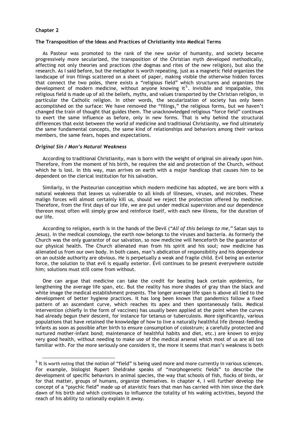#### **Chapter 2**

#### **The Transposition of the Ideas and Practices of Christianity into Medical Terms**

As Pasteur was promoted to the rank of the new savior of humanity, and society became progressively more secularized, the transposition of the Christian myth developed methodically, affecting not only theories and practices (the dogmas and rites of the new religion), but also the research. As I said before, but the metaphor is worth repeating, just as a magnetic field organizes the landscape of iron filings scattered on a sheet of paper, making visible the otherwise hidden forces that connect the two poles, there exists a "religious field" which structures and organizes the development of modern medicine, without anyone knowing it<sup>5</sup>. Invisible and impalpable, this religious field is made up of all the beliefs, myths, and values transported by the Christian religion, in particular the Catholic religion. In other words, the secularization of society has only been accomplished on the surface: We have removed the "filings," the religious forms, but we haven't changed the train of thought that guides them. The unacknowledged religious "force field" continues to exert the same influence as before, only in new forms. That is why behind the structural differences that exist between the world of medicine and traditional Christianity, we find ultimately the same fundamental concepts, the same kind of relationships and behaviors among their various members, the same fears, hopes and expectations.

#### *Original Sin / Man's Natural Weakness*

According to traditional Christianity, man is born with the weight of original sin already upon him. Therefore, from the moment of his birth, he requires the aid and protection of the Church, without which he is lost. In this way, man arrives on earth with a major handicap that causes him to be dependent on the clerical institution for his salvation.

Similarly, in the Pasteurian conception which modern medicine has adopted, we are born with a natural weakness that leaves us vulnerable to all kinds of illnesses, viruses, and microbes. These malign forces will almost certainly kill us, should we reject the protection offered by medicine. Therefore, from the first days of our life, we are put under medical supervision and our dependence thereon most often will simply grow and reinforce itself, with each new illness, for the duration of our life.

According to religion, earth is in the hands of the Devil (*"All of this belongs to me,"* Satan says to Jesus). In the medical cosmology, the earth now belongs to the viruses and bacteria. As formerly the Church was the only guarantor of our salvation, so now medicine will henceforth be the guarantor of our physical health. The Church alienated man from his spirit and his soul; now medicine has alienated us from our own body. In both cases, man's abdication of responsibility and his dependence on an outside authority are obvious. He is perpetually a weak and fragile child. Evil being an exterior force, the solution to that evil is equally exterior. Evil continues to be present everywhere outside him; solutions must still come from without.

One can argue that medicine can take the credit for beating back certain epidemics, for lengthening the average life span, etc. But the reality has more shades of gray than the black and white image the medical establishment presents. The longer average life span is above all tied to the development of better hygiene practices. It has long been known that pandemics follow a fixed pattern of an ascendant curve, which reaches its apex and then spontaneously falls. Medical intervention (chiefly in the form of vaccines) has usually been applied at the point when the curves had already begun their descent, for instance for tetanus or tuberculosis. More significantly, various populations that have retained the knowledge of how to live a naturally healthful life (breast-feeding infants as soon as possible after birth to ensure consumption of colostrum; a carefully protected and nurtured mother-infant bond; maintenance of healthful habits and diet, etc.) are known to enjoy very good health, without needing to make use of the medical arsenal which most of us are all too familiar with. For the more seriously one considers it, the more it seems that man's weakness is both

**EXELLLLLLLLLLLLLLLLLLLLLLLLLL**<br><sup>5</sup> It is worth noting that the notion of "field" is being used more and more currently in various sciences. For example, biologist Rupert Sheldrake speaks of "morphogenetic fields" to describe the development of specific behaviors in animal species, the way that schools of fish, flocks of birds, or for that matter, groups of humans, organize themselves. In chapter 4, I will further develop the concept of a "psychic field" made up of atavistic fears that man has carried with him since the dark dawn of his birth and which continues to influence the totality of his waking activities, beyond the reach of his ability to rationally explain it away.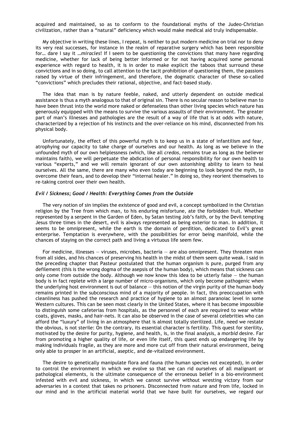acquired and maintained, so as to conform to the foundational myths of the Judeo-Christian civilization, rather than a "natural" deficiency which would make medical aid truly indispensable.

My objective in writing these lines, I repeat, is neither to put modern medicine on trial nor to deny its very real successes, for instance in the realm of reparative surgery which has been responsible for… dare I say it …*miracles*! If I seem to be questioning the convictions that many have regarding medicine, whether for lack of being better informed or for not having acquired some personal experience with regard to health, it is in order to make explicit the taboos that surround these convictions and in so doing, to call attention to the tacit prohibition of questioning them, the passions raised by virtue of their infringement, and therefore, the dogmatic character of these so-called "convictions" which precludes their rational, objective, and fact-based study.

The idea that man is by nature feeble, naked, and utterly dependent on outside medical assistance is thus a myth analogous to that of original sin. There is no secular reason to believe man to have been thrust into the world more naked or defenseless than other living species which nature has generously equipped with the means to survive the various assaults of their environment. The greater part of man's illnesses and pathologies are the result of a way of life that is at odds with nature, characterized by a rejection of his instincts and the over-reliance on his mind, disconnected from his physical body.

Unfortunately, the effect of this powerful myth is to keep us in a state of infantilism and fear, atrophying our capacity to take charge of ourselves and our health. As long as we believe in the unfounded myth of our own helplessness (which, like all *credos*, remains true as long as the believer maintains faith), we will perpetuate the abdication of personal responsibility for our own health to various "experts," and we will remain ignorant of our own astonishing ability to learn to heal ourselves. All the same, there are many who even today are beginning to look beyond the myth, to overcome their fears, and to develop their "internal healer." In doing so, they reorient themselves to re-taking control over their own health.

#### *Evil / Sickness; Good / Health: Everything Comes from the Outside*

The very notion of sin implies the existence of good and evil, a concept symbolized in the Christian religion by the Tree from which man, to his enduring misfortune, ate the forbidden fruit. Whether represented by a serpent in the Garden of Eden, by Satan testing Job's faith, or by the Devil tempting Jesus three times in the desert, evil is always represented as being exterior to man. In addition, it seems to be omnipresent, while the earth is the domain of perdition, dedicated to Evil's great enterprise. Temptation is everywhere, with the possibilities for error being manifold, while the chances of staying on the correct path and living a virtuous life seem few.

For medicine, illnesses — viruses, microbes, bacteria — are also omnipresent. They threaten man from all sides, and his chances of preserving his health in the midst of them seem quite weak. I said in the preceding chapter that Pasteur postulated that the human organism is pure, purged from any defilement (this is the wrong dogma of the asepsis of the human body), which means that sickness can only come from outside the body. Although we now know this idea to be utterly false  $-$  the human body is in fact replete with a large number of micro-organisms, which only become pathogenic when the underlying host environment is out of balance — this notion of the virgin purity of the human body remains printed in the subconscious mind of a majority of people. In fact, this preoccupation with cleanliness has pushed the research and practice of hygiene to an almost paranoiac level in some Western cultures. This can be seen most clearly in the United States, where it has become impossible to distinguish some cafeterias from hospitals, as the personnel of each are required to wear white coats, gloves, masks, and hair-nets. It can also be observed in the case of several celebrities who can afford the "luxury" of living in an atmosphere that is almost totally sterilized. Life, need we restate the obvious, is not sterile: On the contrary, its essential character is fertility. This quest for sterility, motivated by the desire for purity, hygiene, and health, is, in the final analysis, a *morbid* desire. Far from promoting a higher quality of life, or even life itself, this quest ends up endangering life by making individuals fragile, as they are more and more cut off from their natural environment, being only able to prosper in an artificial, aseptic, and de-vitalized environment.

The desire to genetically manipulate flora and fauna (the human species not excepted), in order to control the environment in which we evolve so that we can rid ourselves of all malignant or pathological elements, is the ultimate consequence of the erroneous belief in a bio-environment infested with evil and sickness, in which we cannot survive without wresting victory from our adversaries in a contest that takes no prisoners. Disconnected from nature and from life, locked in our mind and in the artificial material world that we have built for ourselves, we regard our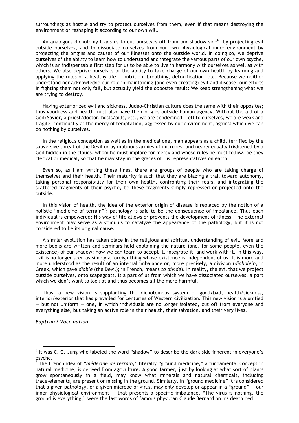surroundings as hostile and try to protect ourselves from them, even if that means destroying the environment or reshaping it according to our own will.

An analogous dichotomy leads us to cut ourselves off from our shadow-side<sup>6</sup>, by projecting evil outside ourselves, and to dissociate ourselves from our own physiological inner environment by projecting the origins and causes of our illnesses onto the outside world. In doing so, we deprive ourselves of the ability to learn how to understand and integrate the various parts of our own psyche, which is an indispensable first step for us to be able to live in harmony with ourselves as well as with others. We also deprive ourselves of the ability to take charge of our own health by learning and applying the rules of a healthy life — nutrition, breathing, detoxification, etc. Because we neither understand nor acknowledge our role in maintaining (and even creating) evil and disease, our efforts in fighting them not only fail, but actually yield the opposite result: We keep strengthening what we are trying to destroy.

Having exteriorized evil and sickness, Judeo-Christian culture does the same with their opposites; thus goodness and health must also have their origins outside human agency. Without the aid of a God/Savior, a priest/doctor, hosts/pills, etc., we are condemned. Left to ourselves, we are weak and fragile, continually at the mercy of temptation, aggressed by our environment, against which we can do nothing by ourselves.

In the religious conception as well as in the medical one, man appears as a child, terrified by the subversive threat of the Devil or by mutinous armies of microbes, and nearly equally frightened by a God hidden in the clouds, whom he must implore for mercy and whose rules he must follow, be they clerical or medical, so that he may stay in the graces of His representatives on earth.

Even so, as I am writing these lines, there are groups of people who are taking charge of themselves and their health. Their maturity is such that they are blazing a trail toward autonomy, taking personal responsibility for their own health, confronting their fears, and integrating the scattered fragments of their psyche, be these fragments simply repressed or projected onto the outside.

In this vision of health, the idea of the exterior origin of disease is replaced by the notion of a holistic "medicine of terrain"<sup>7</sup>; pathology is said to be the consequence of imbalance. Thus each individual is empowered: His way of life allows or prevents the development of illness. The external environment may serve as a stimulus to catalyze the appearance of the pathology, but it is not considered to be its original cause.

A similar evolution has taken place in the religious and spiritual understanding of evil. More and more books are written and seminars held explaining the nature (and, for some people, even the existence) of our shadow: how we can learn to accept it, integrate it, and work with it. In this way, evil is no longer seen as simply a foreign thing whose existence is independent of us. It is more and more understood as the result of an internal imbalance or, more precisely, a division (*diabolein*, in Greek, which gave *diable* (the Devil); in French, means *to divide*). In reality, the evil that we project outside ourselves, onto scapegoats, is a part of us from which we have dissociated ourselves, a part which we don't want to look at and thus becomes all the more harmful.

Thus, a new vision is supplanting the dichotomous system of good/bad, health/sickness, interior/exterior that has prevailed for centuries of Western civilization. This new vision is a unified — but not uniform — one, in which individuals are no longer isolated, cut off from everyone and everything else, but taking an active role in their health, their salvation, and their very lives.

#### *Baptism / Vaccination*

 <sup>6</sup> It was C. G. Jung who labeled the word "shadow" to describe the dark side inherent in everyone's psyche.<br><sup>7</sup> The Er

The French idea of *"médecine de terrain,"* literally "ground medicine," a fundamental concept in natural medicine, is derived from agriculture. A good farmer, just by looking at what sort of plants grow spontaneously in a field, may know what minerals and natural chemicals, including trace-elements, are present or missing in the ground. Similarly, in "ground medicine" it is considered that a given pathology, or a given microbe or virus, may only develop or appear in a "ground"  $-$  our inner physiological environment — that presents a specific imbalance. "The virus is nothing, the ground is everything," were the last words of famous physician Claude Bernard on his death bed.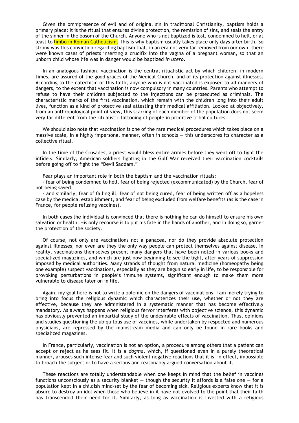Given the omnipresence of evil and of original sin in traditional Christianity, baptism holds a primary place: It is the ritual that ensures divine protection, the remission of sins, and seals the entry of the sinner in the bosom of the Church. Anyone who is not baptized is lost, condemned to hell, or at least to limbo in Roman Catholicism. This is why baptism usually takes place only days after birth. So strong was this conviction regarding baptism that, in an era not very far removed from our own, there were known cases of priests inserting a crucifix into the vagina of a pregnant woman, so that an unborn child whose life was in danger would be baptized *in utero*.

In an analogous fashion, vaccination is the central ritualistic act by which children, in modern times, are assured of the good graces of the Medical Church, and of its protection against illnesses. According to the catechism of this faith, anyone who is not vaccinated is exposed to all manners of dangers, to the extent that vaccination is now compulsory in many countries. Parents who attempt to refuse to have their children subjected to the injections can be prosecuted as criminals. The characteristic marks of the first vaccination, which remain with the children long into their adult lives, function as a kind of protective seal attesting their medical affiliation. Looked at objectively, from an anthropological point of view, this scarring of each member of the population does not seem very far different from the ritualistic tattooing of people in primitive tribal cultures.

We should also note that vaccination is one of the rare medical procedures which takes place on a massive scale, in a highly impersonal manner, often in schools — this underscores its character as a collective ritual.

In the time of the Crusades, a priest would bless entire armies before they went off to fight the infidels. Similarly, American soldiers fighting in the Gulf War received their vaccination cocktails before going off to fight the "Devil Saddam."

Fear plays an important role in both the baptism and the vaccination rituals:

- fear of being condemned to hell, fear of being rejected (excommunicated) by the Church, fear of not being saved;

- and similarly, fear of falling ill, fear of not being cured, fear of being written off as a hopeless case by the medical establishment, and fear of being excluded from welfare benefits (as is the case in France, for people refusing vaccines).

In both cases the individual is convinced that there is nothing he can do himself to ensure his own salvation or health. His only recourse is to put his fate in the hands of another, and in doing so, garner the protection of the society.

Of course, not only are vaccinations not a panacea, nor do they provide absolute protection against illnesses, nor even are they the only way people can protect themselves against disease. In reality, vaccinations themselves present many dangers that have been noted in various books and specialized magazines, and which are just now beginning to see the light, after years of suppression imposed by medical authorities. Many strands of thought from natural medicine (homeopathy being one example) suspect vaccinations, especially as they are begun so early in life, to be responsible for provoking perturbations in people's immune systems, significant enough to make them more vulnerable to disease later on in life.

Again, my goal here is not to write a polemic on the dangers of vaccinations. I am merely trying to bring into focus the religious dynamic which characterizes their use, whether or not they are effective, because they are administered in a systematic manner that has become effectively mandatory. As always happens when religious fervor interferes with objective science, this dynamic has obviously prevented an impartial study of the undesirable effects of vaccination. Thus, opinions and studies questioning the ubiquitous use of vaccines, while undertaken by respected and numerous physicians, are repressed by the mainstream media and can only be found in rare books and specialized magazines.

In France, particularly, vaccination is not an option, a procedure among others that a patient can accept or reject as he sees fit. It is a *dogma*, which, if questioned even in a purely theoretical manner, arouses such intense fear and such violent negative reactions that it is, in effect, impossible to broach the subject or to have a serious and reasonably argued conversation about it.

These reactions are totally understandable when one keeps in mind that the belief in vaccines functions unconsciously as a security blanket  $-$  though the security it affords is a false one  $-$  for a population kept in a childish mind-set by the fear of becoming sick. Religious experts know that it is absurd to destroy an idol when those who believe in it have not evolved to the point that their faith has transcended their need for it. Similarly, as long as vaccination is invested with a religious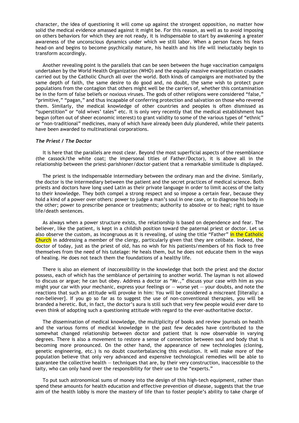character, the idea of questioning it will come up against the strongest opposition, no matter how solid the medical evidence amassed against it might be. For this reason, as well as to avoid imposing on others behaviors for which they are not ready, it is indispensable to start by awakening a greater awareness of the unconscious dynamics under which we still labor. When a person faces his fears head-on and begins to become psychically mature, his health and his life will ineluctably begin to transform accordingly.

Another revealing point is the parallels that can be seen between the huge vaccination campaigns undertaken by the World Health Organization (WHO) and the equally massive evangelization crusades carried out by the Catholic Church all over the world. Both kinds of campaigns are motivated by the same depth of faith, the same desire to do good and, no doubt, the same wish to protect pure populations from the contagion that others might well be the carriers of, whether this contamination be in the form of false beliefs or noxious viruses. The gods of other religions were considered "false," "primitive," "pagan," and thus incapable of conferring protection and salvation on those who revered them. Similarly, the medical knowledge of other countries and peoples is often dismissed as "superstition" or "old wives' tales" etc. It is only very recently that the medical establishment has begun (often out of sheer economic interest) to grant validity to some of the various types of "ethnic" or "non-traditional" medicines, many of which have already been duly plundered, while their patents have been awarded to multinational corporations.

#### *The Priest / The Doctor*

It is here that the parallels are most clear. Beyond the most superficial aspects of the resemblance (the cassock/the white coat; the impersonal titles of Father/Doctor), it is above all in the relationship between the priest-parishioner/doctor-patient that a remarkable similitude is displayed.

The priest is the indispensable intermediary between the ordinary man and the divine. Similarly, the doctor is the intermediary between the patient and the secret practices of medical science. Both priests and doctors have long used Latin as their private language in order to limit access of the laity to their knowledge. They both compel a strong respect and so impose a certain fear, because they hold a kind of a power over others: power to judge a man's soul in one case, or to diagnose his body in the other; power to prescribe penance or treatments; authority to absolve or to heal; right to issue life/death sentences.

As always when a power structure exists, the relationship is based on dependence and fear. The believer, like the patient, is kept in a childish position toward the paternal priest or doctor. Let us also observe the custom, as incongruous as it is revealing, of using the title "Father" in the Catholic Church in addressing a member of the clergy, particularly given that they are celibate. Indeed, the doctor of today, just as the priest of old, has no wish for his patients/members of his flock to free themselves from the need of his tutelage: He heals them, but he does not educate them in the ways of healing. He does not teach them the foundations of a healthy life.

There is also an element of *inaccessibility* in the knowledge that both the priest and the doctor possess, each of which has the semblance of pertaining to another world. The layman is not allowed to discuss or argue; he can but obey. Address a doctor as "Mr.," discuss your case with him as you might your car with your mechanic, express your feelings or  $-$  worse yet  $-$  your doubts, and note the reactions that such an attitude will provoke in him: You will be considered a miscreant [literally: a non-believer]. If you go so far as to suggest the use of non-conventional therapies, you will be branded a heretic. But, in fact, the doctor's aura is still such that very few people would ever dare to even think of adopting such a questioning attitude with regard to the ever-authoritative doctor.

The dissemination of medical knowledge, the multiplicity of books and review journals on health and the various forms of medical knowledge in the past few decades have contributed to the somewhat changed relationship between doctor and patient that is now observable in varying degrees. There is also a movement to restore a sense of connection between soul and body that is becoming more pronounced. On the other hand, the appearance of new technologies (cloning, genetic engineering, etc.) is no doubt counterbalancing this evolution. It will make more of the population believe that only very advanced and expensive technological remedies will be able to guarantee the collective health — techniques that are, by their very construction, inaccessible to the laity, who can only hand over the responsibility for their use to the "experts."

To put such astronomical sums of money into the design of this high-tech equipment, rather than spend these amounts for health education and effective prevention of disease, suggests that the true aim of the health lobby is more the mastery of life than to foster people's ability to take charge of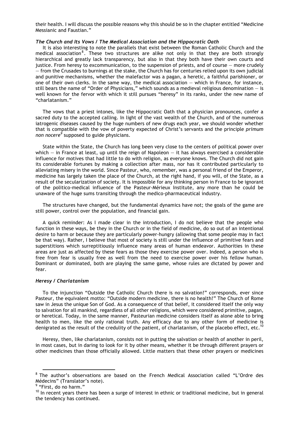their health. I will discuss the possible reasons why this should be so in the chapter entitled "Medicine Messianic and Faustian."

#### *The Church and Its Vows / The Medical Association and the Hippocratic Oath*

It is also interesting to note the parallels that exist between the Roman Catholic Church and the medical association<sup>8</sup>. These two structures are alike not only in that they are both strongly hierarchical and greatly lack transparency, but also in that they both have their own courts and justice. From heresy to excommunication, to the suspension of priests, and of course — more crudely — from the Crusades to burnings at the stake, the Church has for centuries relied upon its own judicial and punitive mechanisms, whether the malefactor was a pagan, a heretic, a faithful parishioner, or one of their own clerks. In the same way, the medical association — which in France, for instance, still bears the name of "Order of Physicians," which sounds as a medieval religious denomination  $-$  is well known for the fervor with which it still pursues "heresy" in its ranks, under the new name of "charlatanism."

The vows that a priest intones, like the Hippocratic Oath that a physician pronounces, confer a sacred duty to the accepted calling. In light of the vast wealth of the Church, and of the numerous iatrogenic diseases caused by the huge numbers of new drugs each year, we should wonder whether that is compatible with the vow of poverty expected of Christ's servants and the principle *primum*  n*on nocere<sup>9</sup>* supposed to guide physicians.

State within the State, the Church has long been very close to the centers of political power over which – in France at least, up until the reign of Napoleon – it has always exercised a considerable influence for motives that had little to do with religion, as everyone knows. The Church did not gain its considerable fortunes by making a collection after mass, nor has it contributed particularly to alleviating misery in the world. Since Pasteur, who, remember, was a personal friend of the Emperor, medicine has largely taken the place of the Church, at the right hand, if you will, of the State, as a result of the secularization of society. It is impossible for any thinking person in France to be ignorant of the politico-medical influence of the Pasteur-Mérieux Institute, any more than he could be unaware of the huge sums transiting through the medico-pharmaceutical industry.

The structures have changed, but the fundamental dynamics have not; the goals of the game are still power, control over the population, and financial gain.

A quick reminder: As I made clear in the introduction, I do not believe that the people who function in these ways, be they in the Church or in the field of medicine, do so out of an intentional desire to harm or because they are particularly power-hungry (allowing that some people may in fact be that way). Rather, I believe that most of society is still under the influence of primitive fears and superstitions which surreptitiously influence many areas of human endeavor. Authorities in these areas are just as affected by these fears as those they exercise power over. Indeed, a person who is free from fear is usually free as well from the need to exercise power over his fellow human. Dominant or dominated, both are playing the same game, whose rules are dictated by power and fear.

#### *Heresy / Charlatanism*

To the injunction "Outside the Catholic Church there is no salvation!" corresponds, ever since Pasteur, the equivalent motto: "Outside modern medicine, there is no health!" The Church of Rome saw in Jesus the unique Son of God. As a consequence of that belief, it considered itself the only way to salvation for all mankind, regardless of all other religions, which were considered primitive, pagan, or heretical. Today, in the same manner, Pasteurian medicine considers itself as alone able to bring health to men, like the only rational truth. Any efficacy due to any other form of medicine is denigrated as the result of the credulity of the patient, of charlatanism, of the placebo effect, etc.<sup>10</sup>

Heresy, then, like charlatanism, consists not in putting the salvation or health of another in peril, in most cases, but in daring to look for it by other means, whether it be through different prayers or other medicines than those officially allowed. Little matters that these other prayers or medicines

**ENE CONCO CONCO CONCO CONCO CONCO CONCO CONCO CONCO CONCO CONCO CONCO CONCO CONCO CONCO CONCO CONCO CONCO CONC**<br><sup>8</sup> The author's observations are based on the French Medical Association called "L'Ordre des Médecins" (Translator's note).

<sup>&</sup>lt;sup>9</sup> "First, do no harm."

 $10$  In recent years there has been a surge of interest in ethnic or traditional medicine, but in general the tendency has continued.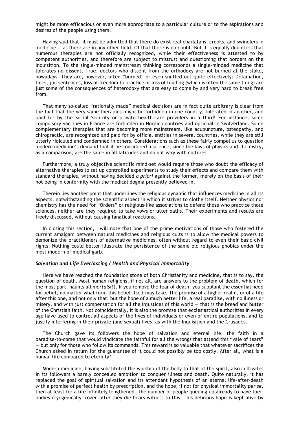might be more efficacious or even more appropriate to a particular culture or to the aspirations and desires of the people using them.

Having said that, it must be admitted that there do exist real charlatans, crooks, and swindlers in medicine — as there are in any other field. Of that there is no doubt. But it is equally doubtless that numerous therapies are not officially recognized, while their effectiveness is attested to by competent authorities, and therefore are subject to mistrust and questioning that borders on the Inquisition. To the single-minded mainstream thinking corresponds a single-minded medicine that tolerates no dissent. True, doctors who dissent from the orthodoxy are not burned at the stake, nowadays. They are, however, often "burned" or even snuffed out quite effectively: Defamation, fines, jail sentences, loss of freedom to practice or loss of funding (which is often the same thing) are just some of the consequences of heterodoxy that are easy to come by and very hard to break free from.

That many so-called "rationally made" medical decisions are in fact quite arbitrary is clear from the fact that the very same therapies might be forbidden in one country, tolerated in another, and paid for by the Social Security or private health-care providers in a third! For instance, some compulsory vaccines in France are forbidden in Nordic countries and optional in Switzerland. Some complementary therapies that are becoming more mainstream, like acupuncture, osteopathy, and chiropractic, are recognized and paid for by official entities in several countries, while they are still utterly ridiculed and condemned in others. Considerations such as these fairly compel us to question modern medicine's demand that it be considered a science, since the laws of physics and chemistry, as a comparison, are the same in all latitudes and do not vary with cultures.

Furthermore, a truly objective scientific mind-set would require those who doubt the efficacy of alternative therapies to set up controlled experiments to study their effects and compare them with standard therapies, without having decided *a priori* against the former, merely on the basis of their not being in conformity with the medical dogma presently believed in.

Therein lies another point that underlines the religious dynamic that influences medicine in all its aspects, notwithstanding the scientific aspect in which it strives to clothe itself. Neither physics nor chemistry has the need for "Orders" or religious-like associations to defend those who practice those sciences, neither are they required to take vows or utter oaths. Their experiments and results are freely discussed, without causing fanatical reactions.

In closing this section, I will note that one of the prime motivations of those who fostered the current amalgam between natural medicines and religious cults is to allow the medical powers to demonize the practitioners of alternative medicines, often without regard to even their basic civil rights. Nothing could better illustrate the persistence of the same old religious phobias under the most modern of medical garb.

#### *Salvation and Life Everlasting / Health and Physical Immortality*

Here we have reached the foundation stone of both Christianity and medicine, that is to say, the question of death. Most human religions, if not all, are answers to the problem of death, which for the most part, haunts all *mortals*(!). If you remove the fear of death, you supplant the essential need for belief, no matter what form this belief itself may take. The promise of a higher realm, or of a life after this one, and not only that, but the hope of a much better life, a real paradise, with no illness or misery, and with just compensation for all the injustices of this world — that is the bread and butter of the Christian faith. Not coincidentally, it is also the promise that ecclesiastical authorities in every age have used to control all aspects of the lives of individuals or even of entire populations, and to justify interfering in their private (and sexual) lives, as with the Inquisition and the Crusades.

The Church gave its followers the hope of salvation and eternal life, the faith in a paradise-to-come that would vindicate the faithful for all the wrongs that attend this "vale of tears" — but only for those who follow its commands. This reward is so valuable that whatever sacrifices the Church asked in return for the guarantee of it could not possibly be too costly. After all, what is a human life compared to eternity?

Modern medicine, having substituted the worship of the body to that of the spirit, also cultivates in its followers a barely concealed ambition to conquer illness and death. Quite naturally, it has replaced the goal of spiritual salvation and its attendant hypothesis of an eternal life-after-death with a promise of perfect health by prescription, and the hope, if not for physical immortality *per se*, then at least for a life infinitely lengthened. The number of people queuing up already to have their bodies cryogenically frozen after they die bears witness to this. This delirious hope is kept alive by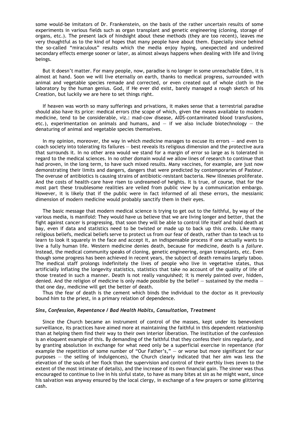some would-be imitators of Dr. Frankenstein, on the basis of the rather uncertain results of some experiments in various fields such as organ transplant and genetic engineering (cloning, storage of organs, etc.). The present lack of hindsight about these methods (they are too recent), leaves me very thoughtful as to the kind of hopes that many people have about them. Especially since behind the so-called "miraculous" results which the media enjoy hyping, unexpected and undesired secondary effects emerge sooner or later, as almost always happens when dealing with life and living beings.

But it doesn't matter. For many people, now, paradise is no longer in some unreachable Eden, it is almost at hand. Soon we will live eternally on earth, thanks to medical progress, surrounded with animal and vegetable species remade and corrected, or even created out of whole cloth in the laboratory by the human genius. God, if He ever did exist, barely managed a rough sketch of his Creation, but luckily we are here to set things right.

If heaven was worth so many sufferings and privations, it makes sense that a terrestrial paradise should also have its price: medical errors (the scope of which, given the means available to modern medicine, tend to be considerable, viz.: mad-cow disease, AIDS-contaminated blood transfusions, etc.), experimentation on animals and humans, and  $-$  if we also include biotechnology  $-$  the denaturing of animal and vegetable species themselves.

In my opinion, moreover, the way in which medicine manages to excuse its errors — and even to coach society into tolerating its failures — best reveals its religious dimension and the protective aura that surrounds it. In no other area would we stand for a margin of error so large as is tolerated in regard to the medical sciences. In no other domain would we allow lines of research to continue that had proven, in the long term, to have such mixed results. Many vaccines, for example, are just now demonstrating their limits and dangers, dangers that were predicted by contemporaries of Pasteur. The overuse of antibiotics is causing strains of antibiotic-resistant bacteria. New illnesses proliferate. And the costs of health-care have risen to undreamed-of heights. It is true, of course, that for the most part these troublesome realities are veiled from public view by a communication embargo. However, it is likely that if the public were in fact informed of all these errors, the messianic dimension of modern medicine would probably sanctify them in their eyes.

The basic message that modern medical science is trying to get out to the faithful, by way of the various media, is manifold: They would have us believe that we are living longer and better, that the fight against cancer is progressing, that soon they will be able to control life itself and hold death at bay, even if data and statistics need to be twisted or made up to back up this *credo*. Like many religious beliefs, medical beliefs serve to protect us from our fear of death, rather than to teach us to learn to look it squarely in the face and accept it, an indispensable process if one actually wants to live a fully human life. Western medicine denies death, because for medicine, death is a *failure.* Instead, the medical community speaks of cloning, genetic engineering, organ transplants, etc. Even though some progress has been achieved in recent years, the subject of death remains largely taboo. The medical staff prolongs indefinitely the lives of people who live in vegetative states, thus artificially inflating the longevity statistics, statistics that take no account of the quality of life of those treated in such a manner. Death is not really vanquished; it is merely painted over, hidden, denied. And the religion of medicine is only made possible by the belief  $-$  sustained by the media  $$ that one day, medicine will get the better of death.

Thus the fear of death is the cement which binds the individual to the doctor as it previously bound him to the priest, in a primary relation of dependence.

#### *Sins, Confession, Repentance / Bad Health Habits, Consultation, Treatment*

Since the Church became an instrument of control of the masses, kept under its benevolent surveillance, its practices have aimed more at maintaining the faithful in this dependent relationship than at helping them find their way to their own interior liberation. The institution of the confession is an eloquent example of this. By demanding of the faithful that they confess their sins regularly, and by granting absolution in exchange for what need only be a superficial exercise in repentance (for example the repetition of some number of "Our Father's," — or worse but more significant for our purposes — the selling of indulgences), the Church clearly indicated that her aim was less the elevation of the souls of her flock than the supervision and control of their earthly lives (even to the extent of the most intimate of details), and the increase of its own financial gain. The sinner was thus encouraged to continue to live in his sinful state, to have as many bites at sin as he might want, since his salvation was anyway ensured by the local clergy, in exchange of a few prayers or some glittering cash.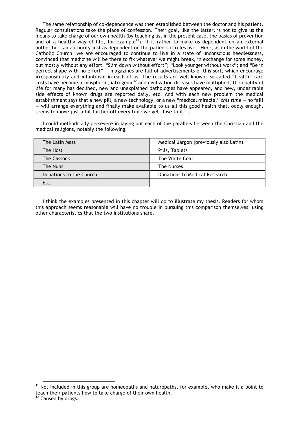The same relationship of co-dependence was then established between the doctor and his patient. Regular consultations take the place of confession. Their goal, like the latter, is not to give us the means to take charge of our own health (by teaching us, in the present case, the basics of prevention and of a healthy way of life, for example<sup>11</sup>). It is rather to make us dependent on an external authority — an authority just as dependent on the patients it rules over. Here, as in the world of the Catholic Church, we are encouraged to continue to live in a state of unconscious heedlessness, convinced that medicine will be there to fix whatever we might break, in exchange for some money, but mostly without any effort. "Slim down without effort"; "Look younger without work"; and "Be in perfect shape with no effort" — magazines are full of advertisements of this sort, which encourage irresponsibility and infantilism in each of us. The results are well-known: So-called "health"-care costs have become atmospheric, iatrogenic<sup>12</sup> and civilization diseases have multiplied, the quality of life for many has declined, new and unexplained pathologies have appeared, and new, undesirable side effects of known drugs are reported daily, etc. And with each new problem the medical establishment says that a new pill, a new technology, or a new "medical miracle," *this time* — no fail! — will arrange everything and finally make available to us all this good health that, oddly enough, seems to move just a bit further off every time we get close to it. …

I could methodically persevere in laying out each of the parallels between the Christian and the medical religions, notably the following:

| The Latin Mass          | Medical Jargon (previously also Latin) |
|-------------------------|----------------------------------------|
| The Host                | Pills, Tablets                         |
| The Cassock             | The White Coat                         |
| The Nuns                | The Nurses                             |
| Donations to the Church | Donations to Medical Research          |
| Etc.                    |                                        |

I think the examples presented in this chapter will do to illustrate my thesis. Readers for whom this approach seems reasonable will have no trouble in pursuing this comparison themselves, using other characteristics that the two institutions share.

 $11$  Not included in this group are homeopaths and naturopaths, for example, who make it a point to teach their patients how to take charge of their own health.

<sup>&</sup>lt;sup>12</sup> Caused by drugs.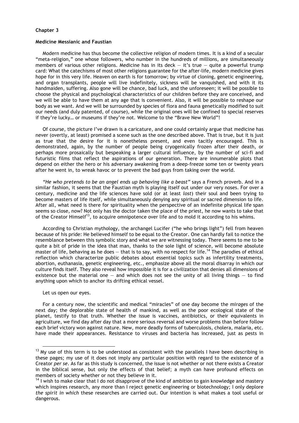### **Chapter 3**

#### **Medicine Messianic and Faustian**

Modern medicine has thus become the collective religion of modern times. It is a kind of a secular "meta-religion," one whose followers, who number in the hundreds of millions, are simultaneously members of various other religions. Medicine has in its deck  $-$  it's true  $-$  quite a powerful trump card: What the catechisms of most other religions guarantee for the after-life, modern medicine gives hope for in this very life. Heaven on earth is for tomorrow; by virtue of cloning, genetic engineering, and organ transplants, people will live indefinitely, sickness will be vanquished, and with it its handmaiden, suffering. Also gone will be chance, bad luck, and the unforeseen; it will be possible to choose the physical and psychological characteristics of our children before they are conceived, and we will be able to have them at any age that is convenient. Also, it will be possible to reshape our body as we want. And we will be surrounded by species of flora and fauna genetically modified to suit our needs (and duly patented, of course), while the original ones will be confined to special reserves if they're lucky… or museums if they're not. Welcome to the "Brave New World"!

Of course, the picture I've drawn is a caricature, and one could certainly argue that medicine has never (overtly, at least) promised a scene such as the one described above. That is true, but it is just as true that the desire for it is nonetheless present, and even tacitly encouraged. This is demonstrated, again, by the number of people being cryogenically frozen after their death, or perhaps more prosaically but bespeaking a larger cultural influence, by the number of sci-fi and futuristic films that reflect the aspirations of our generation. There are innumerable plots that depend on either the hero or his adversary awakening from a deep-freeze some ten or twenty years after he went in, to wreak havoc or to prevent the bad guys from taking over the world.

*"He who pretends to be an angel ends up behaving like a beast"* says a French proverb. And in a similar fashion, it seems that the Faustian myth is playing itself out under our very noses. For over a century, medicine and the life sciences have sold (or at least *lost*) their soul and been trying to become masters of life itself, while simultaneously denying any spiritual or sacred dimension to life. After all, what need is there for spirituality when the perspective of an indefinite physical life span seems so close, now? Not only has the doctor taken the place of the priest, he now wants to take that of the Creator Himself<sup>13</sup>, to acquire omnipotence over life and to mold it according to his whims.

According to Christian mythology, the archangel Lucifer ("he who brings light") fell from heaven because of his pride: He believed himself to be equal to the Creator. One can hardly fail to notice the resemblance between this symbolic story and what we are witnessing today. There seems to me to be quite a bit of pride in the idea that man, thanks to the sole light of science, will become absolute master of life, behaving as he does  $-$  that is to say, with no respect for life.<sup>14</sup> The parodies of ethical reflection which characterize public debates about essential topics such as infertility treatments, abortion, euthanasia, genetic engineering, etc., emphasize above all the moral disarray in which our culture finds itself. They also reveal how impossible it is for a civilization that denies all dimensions of existence but the material one  $-$  and which does not see the unity of all living things  $-$  to find anything upon which to anchor its drifting ethical vessel.

#### Let us open our eyes.

For a century now, the scientific and medical "miracles" of one day become the *mirages* of the next day; the deplorable state of health of mankind, as well as the poor ecological state of the planet, testify to that truth. Whether the issue is vaccines, antibiotics, or their equivalents in agriculture, we find day after day that a more serious reversal and worse problems than before follow each brief victory won against nature. New, more deadly forms of tuberculosis, cholera, malaria, etc. have made their appearances. Resistance to viruses and bacteria has increased, just as pests in

 $13$  My use of this term is to be understood as consistent with the parallels I have been describing in these pages; my use of it does not imply any particular position with regard to the existence of a Creator *per se*. As far as this study is concerned, the issue is not whether or not there exists a Creator in the biblical sense, but only the effects of that belief; a myth can have profound effects on members of society whether or not they believe in it.

<sup>&</sup>lt;sup>14</sup> I wish to make clear that I do not disapprove of the kind of ambition to gain knowledge and mastery which inspires research, any more than I reject genetic engineering or biotechnology; I only deplore *the spirit in which* these researches are carried out. Our intention is what makes a tool useful or dangerous.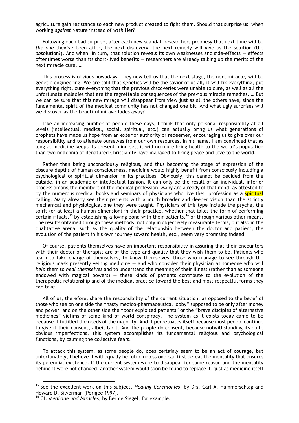agriculture gain resistance to each new product created to fight them. Should that surprise us, when working *against* Nature instead of *with* Her?

Following each bad surprise, after each new scandal, researchers prophesy that next time will be *the one* they've been after, the next discovery, the next remedy will give us the solution (the *ab*solution?). And when, in turn, that solution reveals its own weaknesses and side-effects — effects oftentimes worse than its short-lived benefits — researchers are already talking up the merits of the next miracle cure. …

This process is obvious nowadays. They now tell us that the next stage, the next miracle, will be genetic engineering. We are told that genetics will be the savior of us all, it will fix everything, put everything right, cure everything that the previous discoveries were unable to cure, as well as all the unfortunate maladies that are the regrettable consequences of the previous miracle remedies. … But we can be sure that this new mirage will disappear from view just as all the others have, since the fundamental spirit of the medical community has not changed one bit. And what ugly surprises will we discover as the beautiful mirage fades away?

Like an increasing number of people these days, I think that only personal responsibility at all levels (intellectual, medical, social, spiritual, etc.) can actually bring us what generations of prophets have made us hope from an exterior authority or redeemer, encouraging us to give over our responsibility and to alienate ourselves from our own resources, in his name. I am convinced that as long as medicine keeps its present mind-set, it will no more bring health to the world's population than two millennia of denatured Christianity have managed to bring peace and love to the world.

Rather than being unconsciously religious, and thus becoming the stage of expression of the obscure depths of human consciousness, medicine would highly benefit from consciously including a psychological or spiritual dimension in its practices. Obviously, this cannot be decided from the outside, in an academic or intellectual fashion. It can only be the result of an individual, interior process among the members of the medical profession. Many are already of that mind, as attested to by the numerous medical books and seminars of physicians who live their profession as a spiritual calling. Many already see their patients with a much broader and deeper vision than the strictly mechanical and physiological one they were taught. Physicians of this type include the psyche, the spirit (or at least a human dimension) in their practice, whether that takes the form of performing certain rituals,<sup>15</sup> by establishing a loving bond with their patients,<sup>16</sup> or through various other means. The results obtained through these methods, not only in objectively measurable terms, but also in the qualitative arena, such as the quality of the relationship between the doctor and patient, the evolution of the patient in his own journey toward health, etc., seem very promising indeed.

Of course, patients themselves have an important responsibility in assuring that their encounters with their doctor or therapist are of the type and quality that they wish them to be. Patients who learn to take charge of themselves, to know themselves, those who manage to see through the religious mask presently veiling medicine — and who consider their physician as someone who will *help* them to *heal themselves* and to understand the meaning of their illness (rather than as someone endowed with magical powers) — these kinds of patients contribute to the evolution of the therapeutic relationship and of the medical practice toward the best and most respectful forms they can take.

All of us, therefore, share the responsibility of the current situation, as opposed to the belief of those who see on one side the "nasty medico-pharmaceutical lobby" supposed to be only after money and power, and on the other side the "poor exploited patients" or the "brave disciples of alternative medicines" victims of some kind of world conspiracy. The system as it exists today came to be because it fulfilled the needs of the majority. And it perpetuates itself because most people continue to give it their consent, albeit tacit. And the people do consent, because notwithstanding its quite obvious imperfections, this system accomplishes its fundamental religious and psychological functions, by calming the collective fears.

To attack this system, as some people do, does certainly seem to be an act of courage, but unfortunately, I believe it will equally be futile unless one can first defeat the mentality that ensures its perennial existence. If the current system were to disappear for some reason and the mentality behind it were not changed, another system would soon be found to replace it, just as medicine itself

 <sup>15</sup> See the excellent work on this subject, *Healing Ceremonies*, by Drs. Carl A. Hammerschlag and Howard D. Silverman (Perigee 1997).

<sup>16</sup> Cf. *Medicine and Miracles*, by Bernie Siegel, for example.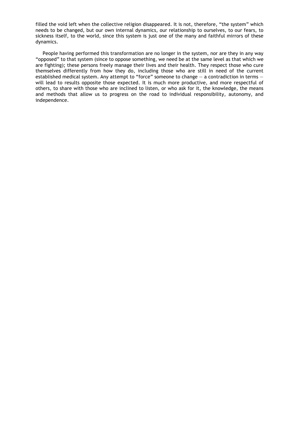filled the void left when the collective religion disappeared. It is not, therefore, "the system" which needs to be changed, but our own internal dynamics, our relationship to ourselves, to our fears, to sickness itself, to the world, since this system is just one of the many and faithful mirrors of these dynamics.

People having performed this transformation are no longer in the system, nor are they in any way "opposed" to that system (since to oppose something, we need be at the same level as that which we are fighting); these persons freely manage their lives and their health. They respect those who cure themselves differently from how they do, including those who are still in need of the current established medical system. Any attempt to "force" someone to change – a contradiction in terms – will lead to results opposite those expected. It is much more productive, and more respectful of others, to share with those who are inclined to listen, or who ask for it, the knowledge, the means and methods that allow us to progress on the road to individual responsibility, autonomy, and independence.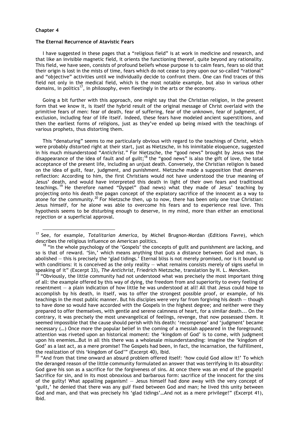#### **Chapter 4**

#### **The Eternal Recurrence of Atavistic Fears**

I have suggested in these pages that a "religious field" is at work in medicine and research, and that like an invisible magnetic field, it orients the functioning thereof, quite beyond any rationality. This field, we have seen, consists of profound beliefs whose purpose is to calm fears, fears so old that their origin is lost in the mists of time, fears which do not cease to prey upon our so-called "rational" and "objective" activities until we individually decide to confront them. One can find traces of this field not only in the medical field, which is the most notable example, but also in various other domains, in politics<sup>17</sup>, in philosophy, even fleetingly in the arts or the economy.

Going a bit further with this approach, one might say that the Christian religion, in the present form that we know it, is itself the hybrid result of the original message of Christ overlaid with the primitive fears of men: fear of death, fear of suffering, fear of the unknown, fear of judgment, of exclusion, including fear of life itself. Indeed, these fears have modeled ancient superstitions, and then the earliest forms of religions, just as they've ended up being mixed with the teachings of various prophets, thus distorting them.

This "denaturing" seems to me particularly obvious with regard to the teachings of Christ, which were probably distorted right at their start, just as Nietzsche, in his inimitable eloquence, suggested in his much misunderstood "*Antichrist.*" For Nietzsche, the "good news" brought by Jesus was the disappearance of the idea of fault and of guilt;<sup>18</sup> the "good news" is also the gift of love, the total acceptance of the present life, including an unjust death. Conversely, the Christian religion is based on the idea of guilt, fear, judgment, and punishment. Nietzsche made a supposition that deserves reflection: According to him, the first Christians would not have understood the true meaning of Jesus' death, and would have interpreted this death in light of their own fears and traditional teachings. 19 He therefore named "Dyspel" (bad news) what they made of Jesus' teaching by projecting onto his death the pagan concept of the expiatory sacrifice of the innocent as a way to atone for the community.<sup>20</sup> For Nietzsche then, up to now, there has been only one true Christian: Jesus himself, for he alone was able to overcome his fears and to experience real love. This hypothesis seems to be disturbing enough to deserve, in my mind, more than either an emotional rejection or a superficial approval.

 <sup>17</sup> See, for example, *Totalitarian America*, by Michel Brugnon-Mordan (Editions Favre), which describes the religious influence on American politics.

 $18$  "In the whole psychology of the 'Gospels' the concepts of guilt and punishment are lacking, and so is that of reward. 'Sin,' which means anything that puts a distance between God and man, is abolished — this is precisely the 'glad tidings.' Eternal bliss is not merely promised, nor is it bound up with conditions: it is conceived as the only reality - what remains consists merely of signs useful in speaking of it" (Excerpt 33), *The Antichrist*, Friedrich Nietzsche, translation by H. L. Mencken.

 $19$  "Obviously, the little community had not understood what was precisely the most important thing of all: the example offered by this way of dying, the freedom from and superiority to every feeling of resentment — a plain indication of how little he was understood at all! All that Jesus could hope to accomplish by his death, in itself, was to offer the strongest possible proof, or example, of his teachings in the most public manner. But his disciples were very far from forgiving his death — though to have done so would have accorded with the Gospels in the highest degree; and neither were they prepared to offer themselves, with gentle and serene calmness of heart, for a similar death... On the contrary, it was precisely the most unevangelical of feelings, revenge, that now possessed them. It seemed impossible that the cause should perish with his death: 'recompense' and 'judgment' became necessary (…) Once more the popular belief in the coming of a messiah appeared in the foreground; attention was riveted upon an historical moment: the 'kingdom of God' is to come, with judgment upon his enemies…But in all this there was a wholesale misunderstanding: imagine the 'kingdom of God' as a last act, as a mere promise! The Gospels had been, in fact, the incarnation, the fulfillment, the realization of this 'kingdom of God'" (Excerpt 40), Ibid.

 $20$  "And from that time onward an absurd problem offered itself: 'how could God allow it!' To which the deranged reason of the little community formulated an answer that was terrifying in its absurdity: God gave his son as a sacrifice for the forgiveness of sins. At once there was an end of the gospels! Sacrifice for sin, and in its most obnoxious and barbarous form: sacrifice of the innocent for the sins of the guilty! What appalling paganism! — Jesus himself had done away with the very concept of 'guilt,' he denied that there was any gulf fixed between God and man; he lived this unity between God and man, and that was precisely his 'glad tidings'…And not as a mere privilege!" (Excerpt 41), Ibid.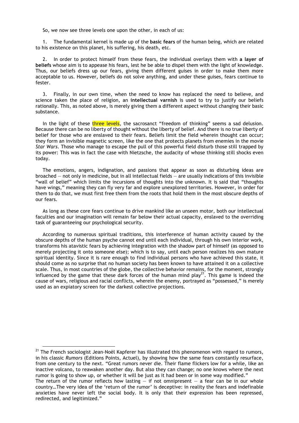So, we now see three levels one upon the other, in each of us:

1. The fundamental kernel is made up of the **basic fears** of the human being, which are related to his existence on this planet, his suffering, his death, etc.

2. In order to protect himself from these fears, the individual overlays them with **a layer of beliefs** whose aim is to appease his fears, lest he be able to dispel them with the light of knowledge. Thus, our beliefs dress up our fears, giving them different guises in order to make them more acceptable to us. However, beliefs do not solve anything, and under these guises, fears continue to fester.

3. Finally, in our own time, when the need to know has replaced the need to believe, and science taken the place of religion, an **intellectual varnish** is used to try to justify our beliefs rationally. This, as noted above, is merely giving them a different aspect without changing their basic substance.

In the light of these three levels, the sacrosanct "freedom of thinking" seems a sad delusion. Because there can be no liberty of thought without the liberty of belief. And there is no true liberty of belief for those who are enslaved to their fears. Beliefs limit the field wherein thought can occur; they form an invisible magnetic screen, like the one that protects planets from enemies in the movie *Star Wars*. Those who manage to escape the pull of this powerful field disturb those still trapped by its power: This was in fact the case with Nietzsche, the audacity of whose thinking still shocks even today.

The emotions, angers, indignation, and passions that appear as soon as disturbing ideas are broached — not only in medicine, but in all intellectual fields — are usually indications of this invisible "wall of belief" which limits the incursions of thoughts into the unknown. It is said that "thoughts have wings," meaning they can fly very far and explore unexplored territories. However, in order for them to do that, we must first free them from the roots that hold them in the most obscure depths of our fears.

As long as these core fears continue to drive mankind like an unseen motor, both our intellectual faculties and our imagination will remain far below their actual capacity, enslaved to the overriding task of guaranteeing our psychological security.

According to numerous spiritual traditions, this interference of human activity caused by the obscure depths of the human psyche cannot end until each individual, through his own interior work, transforms his atavistic fears by achieving integration with the shadow part of himself (as opposed to merely projecting it onto someone else); which is to say, until each person realizes his own mature spiritual identity. Since it is rare enough to find individual persons who have achieved this state, it should come as no surprise that no human society has been known to have attained it on a collective scale. Thus, in most countries of the globe, the collective behavior remains, for the moment, strongly influenced by the game that these dark forces of the human mind play<sup>21</sup>. This game is indeed the cause of wars, religious and racial conflicts, wherein the enemy, portrayed as "possessed," is merely used as an expiatory screen for the darkest collective projections.

 $21$  The French sociologist Jean-Noël Kapferer has illustrated this phenomenon with regard to rumors, in his classic *Rumors* (Editions Points, Actuel), by showing how the same fears constantly resurface, from one century to the next. "Great rumors never die. Their flame flickers low for a while, like an inactive volcano, to reawaken another day. But also they can change; no one knows where the next rumor is going to show up, or whether it will be just as it had been or in some way modified."

The return of the rumor reflects how lasting  $-$  if not omnipresent  $-$  a fear can be in our whole country…The very idea of the 'return of the rumor' is deceptive: in reality the fears and indefinable anxieties have never left the social body. It is only that their expression has been repressed, redirected, and legitimized."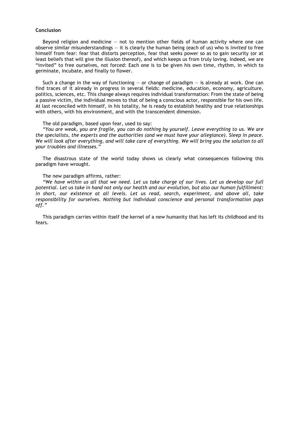#### **Conclusion**

Beyond religion and medicine  $-$  not to mention other fields of human activity where one can observe similar misunderstandings — it is clearly the human being (each of us) who is *invited* to free himself from fear: fear that distorts perception, fear that seeks power so as to gain security (or at least beliefs that will give the illusion thereof), and which keeps us from truly loving. Indeed, we are "invited" to free ourselves, not forced: Each one is to be given his own time, rhythm, in which to germinate, incubate, and finally to flower.

Such a change in the way of functioning  $-$  or change of paradigm  $-$  is already at work. One can find traces of it already in progress in several fields: medicine, education, economy, agriculture, politics, sciences, etc. This change always requires individual transformation: From the state of being a passive victim, the individual moves to that of being a conscious actor, responsible for his own life. At last reconciled with himself, in his totality, he is ready to establish healthy and true relationships with others, with his environment, and with the transcendent dimension.

#### The old paradigm, based upon fear, used to say:

*"You are weak, you are fragile, you can do nothing by yourself. Leave everything to us. We are the specialists, the experts and the authorities (and we must have your allegiance). Sleep in peace. We will look after everything, and will take care of everything. We will bring you the solution to all your troubles and illnesses."*

The disastrous state of the world today shows us clearly what consequences following this paradigm have wrought.

#### The new paradigm affirms, rather:

*"We have within us all that we need. Let us take charge of our lives. Let us develop our full potential. Let us take in hand not only our health and our evolution, but also our human fulfillment: in short, our existence at all levels. Let us read, search, experiment, and above all, take responsibility for ourselves. Nothing but individual conscience and personal transformation pays off."*

This paradigm carries within itself the kernel of a new humanity that has left its childhood and its fears.